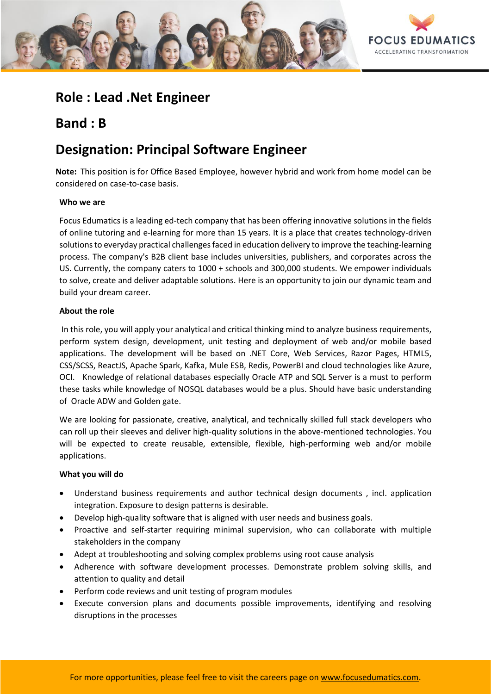

## **Role : Lead .Net Engineer**

## **Band : B**

# **Designation: Principal Software Engineer**

**Note:** This position is for Office Based Employee, however hybrid and work from home model can be considered on case-to-case basis.

## **Who we are**

Focus Edumatics is a leading ed-tech company that has been offering innovative solutions in the fields of online tutoring and e-learning for more than 15 years. It is a place that creates technology-driven solutions to everyday practical challenges faced in education delivery to improve the teaching-learning process. The company's B2B client base includes universities, publishers, and corporates across the US. Currently, the company caters to 1000 + schools and 300,000 students. We empower individuals to solve, create and deliver adaptable solutions. Here is an opportunity to join our dynamic team and build your dream career.

## **About the role**

In this role, you will apply your analytical and critical thinking mind to analyze business requirements, perform system design, development, unit testing and deployment of web and/or mobile based applications. The development will be based on .NET Core, Web Services, Razor Pages, HTML5, CSS/SCSS, ReactJS, Apache Spark, Kafka, Mule ESB, Redis, PowerBI and cloud technologies like Azure, OCI. Knowledge of relational databases especially Oracle ATP and SQL Server is a must to perform these tasks while knowledge of NOSQL databases would be a plus. Should have basic understanding of Oracle ADW and Golden gate.

We are looking for passionate, creative, analytical, and technically skilled full stack developers who can roll up their sleeves and deliver high-quality solutions in the above-mentioned technologies. You will be expected to create reusable, extensible, flexible, high-performing web and/or mobile applications.

### **What you will do**

- Understand business requirements and author technical design documents , incl. application integration. Exposure to design patterns is desirable.
- Develop high-quality software that is aligned with user needs and business goals.
- Proactive and self-starter requiring minimal supervision, who can collaborate with multiple stakeholders in the company
- Adept at troubleshooting and solving complex problems using root cause analysis
- Adherence with software development processes. Demonstrate problem solving skills, and attention to quality and detail
- Perform code reviews and unit testing of program modules
- Execute conversion plans and documents possible improvements, identifying and resolving disruptions in the processes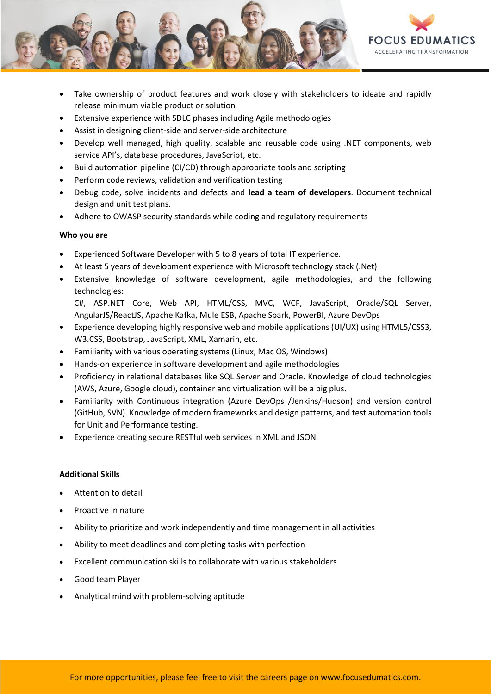

- Take ownership of product features and work closely with stakeholders to ideate and rapidly release minimum viable product or solution
- Extensive experience with SDLC phases including Agile methodologies
- Assist in designing client-side and server-side architecture
- Develop well managed, high quality, scalable and reusable code using .NET components, web service API's, database procedures, JavaScript, etc.
- Build automation pipeline (CI/CD) through appropriate tools and scripting
- Perform code reviews, validation and verification testing
- Debug code, solve incidents and defects and **lead a team of developers**. Document technical design and unit test plans.
- Adhere to OWASP security standards while coding and regulatory requirements

#### **Who you are**

- Experienced Software Developer with 5 to 8 years of total IT experience.
- At least 5 years of development experience with Microsoft technology stack (.Net)
- Extensive knowledge of software development, agile methodologies, and the following technologies:

C#, ASP.NET Core, Web API, HTML/CSS, MVC, WCF, JavaScript, Oracle/SQL Server, AngularJS/ReactJS, Apache Kafka, Mule ESB, Apache Spark, PowerBI, Azure DevOps

- Experience developing highly responsive web and mobile applications (UI/UX) using HTML5/CSS3, W3.CSS, Bootstrap, JavaScript, XML, Xamarin, etc.
- Familiarity with various operating systems (Linux, Mac OS, Windows)
- Hands-on experience in software development and agile methodologies
- Proficiency in relational databases like SQL Server and Oracle. Knowledge of cloud technologies (AWS, Azure, Google cloud), container and virtualization will be a big plus.
- Familiarity with Continuous integration (Azure DevOps /Jenkins/Hudson) and version control (GitHub, SVN). Knowledge of modern frameworks and design patterns, and test automation tools for Unit and Performance testing.
- Experience creating secure RESTful web services in XML and JSON

### **Additional Skills**

- Attention to detail
- Proactive in nature
- Ability to prioritize and work independently and time management in all activities
- Ability to meet deadlines and completing tasks with perfection
- Excellent communication skills to collaborate with various stakeholders
- Good team Player
- Analytical mind with problem-solving aptitude